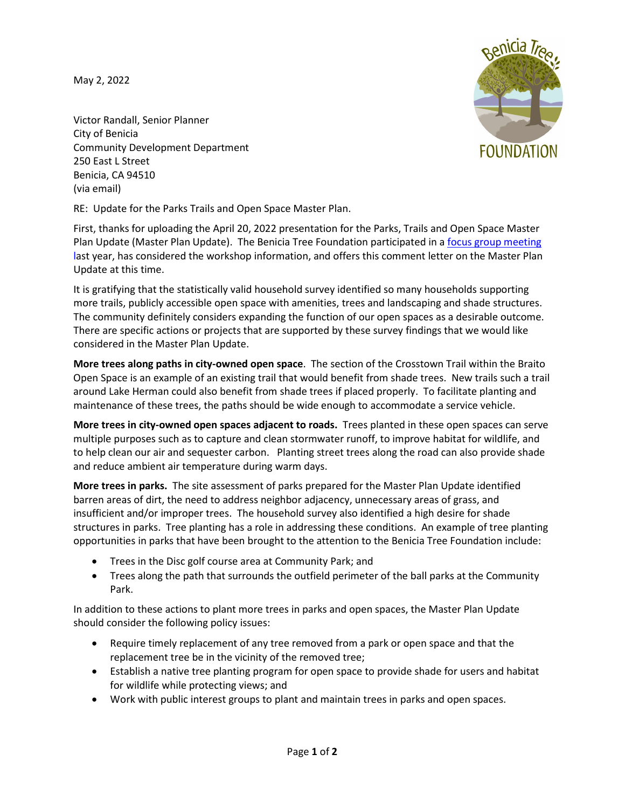May 2, 2022

**FOUNDATION** 

Victor Randall, Senior Planner City of Benicia Community Development Department 250 East L Street Benicia, CA 94510 (via email)

RE: Update for the Parks Trails and Open Space Master Plan.

First, thanks for uploading the April 20, 2022 presentation for the Parks, Trails and Open Space Master Plan Update (Master Plan Update). The Benicia Tree Foundation participated in a [focus group meeting](https://beniciatrees.org/trees-for-park-master-plan-update/)  [la](https://beniciatrees.org/trees-for-park-master-plan-update/)st year, has considered the workshop information, and offers this comment letter on the Master Plan Update at this time.

It is gratifying that the statistically valid household survey identified so many households supporting more trails, publicly accessible open space with amenities, trees and landscaping and shade structures. The community definitely considers expanding the function of our open spaces as a desirable outcome. There are specific actions or projects that are supported by these survey findings that we would like considered in the Master Plan Update.

**More trees along paths in city-owned open space**. The section of the Crosstown Trail within the Braito Open Space is an example of an existing trail that would benefit from shade trees. New trails such a trail around Lake Herman could also benefit from shade trees if placed properly. To facilitate planting and maintenance of these trees, the paths should be wide enough to accommodate a service vehicle.

**More trees in city-owned open spaces adjacent to roads.** Trees planted in these open spaces can serve multiple purposes such as to capture and clean stormwater runoff, to improve habitat for wildlife, and to help clean our air and sequester carbon. Planting street trees along the road can also provide shade and reduce ambient air temperature during warm days.

**More trees in parks.** The site assessment of parks prepared for the Master Plan Update identified barren areas of dirt, the need to address neighbor adjacency, unnecessary areas of grass, and insufficient and/or improper trees. The household survey also identified a high desire for shade structures in parks. Tree planting has a role in addressing these conditions. An example of tree planting opportunities in parks that have been brought to the attention to the Benicia Tree Foundation include:

- Trees in the Disc golf course area at Community Park; and
- Trees along the path that surrounds the outfield perimeter of the ball parks at the Community Park.

In addition to these actions to plant more trees in parks and open spaces, the Master Plan Update should consider the following policy issues:

- Require timely replacement of any tree removed from a park or open space and that the replacement tree be in the vicinity of the removed tree;
- Establish a native tree planting program for open space to provide shade for users and habitat for wildlife while protecting views; and
- Work with public interest groups to plant and maintain trees in parks and open spaces.